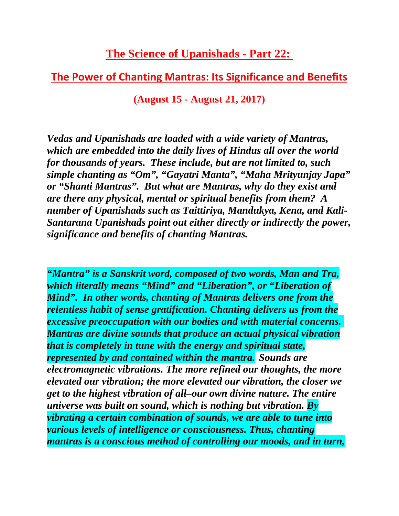## **The Science of Upanishads - Part 22:**

## **The Power of Chanting Mantras: Its Significance and Benefits**

**(August 15 - August 21, 2017)**

*Vedas and Upanishads are loaded with a wide variety of Mantras, which are embedded into the daily lives of Hindus all over the world for thousands of years. These include, but are not limited to, such simple chanting as "Om", "Gayatri Manta", "Maha Mrityunjay Japa" or "Shanti Mantras". But what are Mantras, why do they exist and are there any physical, mental or spiritual benefits from them? A number of Upanishads such as Taittiriya, Mandukya, Kena, and Kali-Santarana Upanishads point out either directly or indirectly the power, significance and benefits of chanting Mantras.*

*"Mantra" is a Sanskrit word, composed of two words, Man and Tra, which literally means "Mind" and "Liberation", or "Liberation of Mind". In other words, chanting of Mantras delivers one from the relentless habit of sense gratification. Chanting delivers us from the excessive preoccupation with our bodies and with material concerns. Mantras are divine sounds that produce an actual physical vibration that is completely in tune with the energy and spiritual state, represented by and contained within the mantra. Sounds are electromagnetic vibrations. The more refined our thoughts, the more elevated our vibration; the more elevated our vibration, the closer we get to the highest vibration of all–our own divine nature. The entire universe was built on sound, which is nothing but vibration. By vibrating a certain combination of sounds, we are able to tune into various levels of intelligence or consciousness. Thus, chanting mantras is a conscious method of controlling our moods, and in turn,*